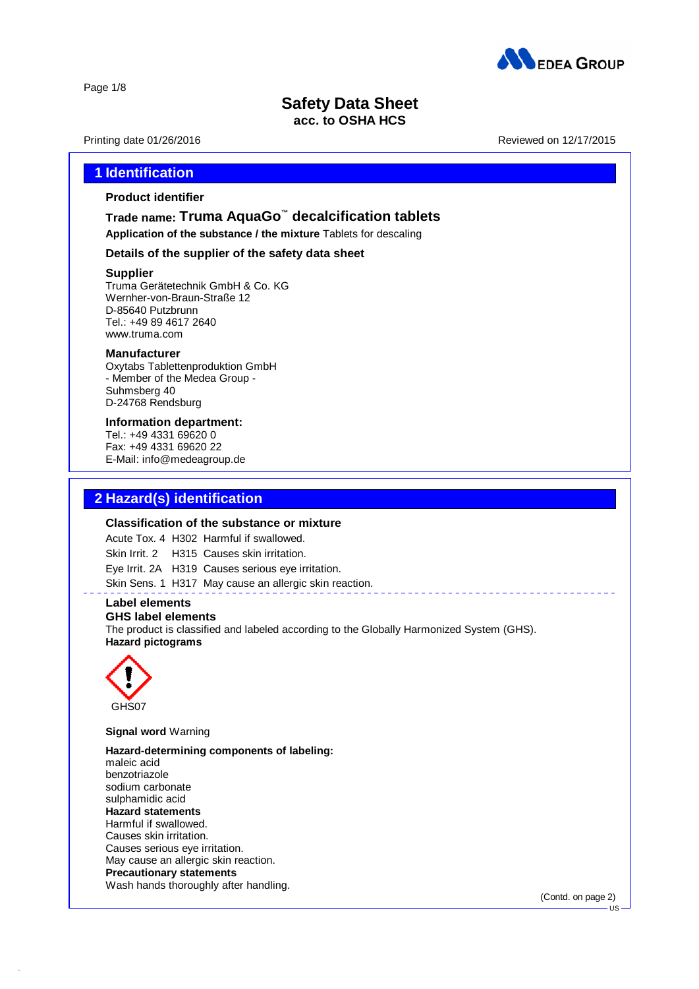

Page 1/8

# **Safety Data Sheet**

### **acc. to OSHA HCS**

Printing date 01/26/2016 **Reviewed on 12/17/2015** 

# **1 Identification**

### **Product identifier**

## **Trade name: Truma AquaGo ™ decalcification tablets**

**Application of the substance / the mixture** Tablets for descaling

### **Details of the supplier of the safety data sheet**

### **Supplier**

Truma Gerätetechnik GmbH & Co. KG Wernher-von-Braun-Straße 12 D-85640 Putzbrunn Tel.: +49 89 4617 2640 [www.truma.com](http://www.truma.com)

### **Manufacturer**

Oxytabs Tablettenproduktion GmbH - Member of the Medea Group - Suhmsberg 40 D-24768 Rendsburg

### **Information department:**

Tel.: +49 4331 69620 0 Fax: +49 4331 69620 22 E-Mail: info@medeagroup.de

## **2 Hazard(s) identification**

### **Classification of the substance or mixture**

Acute Tox. 4 H302 Harmful if swallowed.

Skin Irrit. 2 H315 Causes skin irritation.

Eye Irrit. 2A H319 Causes serious eye irritation.

Skin Sens. 1 H317 May cause an allergic skin reaction.

### **Label elements**

#### **GHS label elements**

The product is classified and labeled according to the Globally Harmonized System (GHS). **Hazard pictograms**



42.0.1

**Signal word** Warning

**Hazard-determining components of labeling:** maleic acid benzotriazole sodium carbonate sulphamidic acid **Hazard statements** Harmful if swallowed. Causes skin irritation. Causes serious eye irritation. May cause an allergic skin reaction. **Precautionary statements** Wash hands thoroughly after handling.

(Contd. on page 2)

US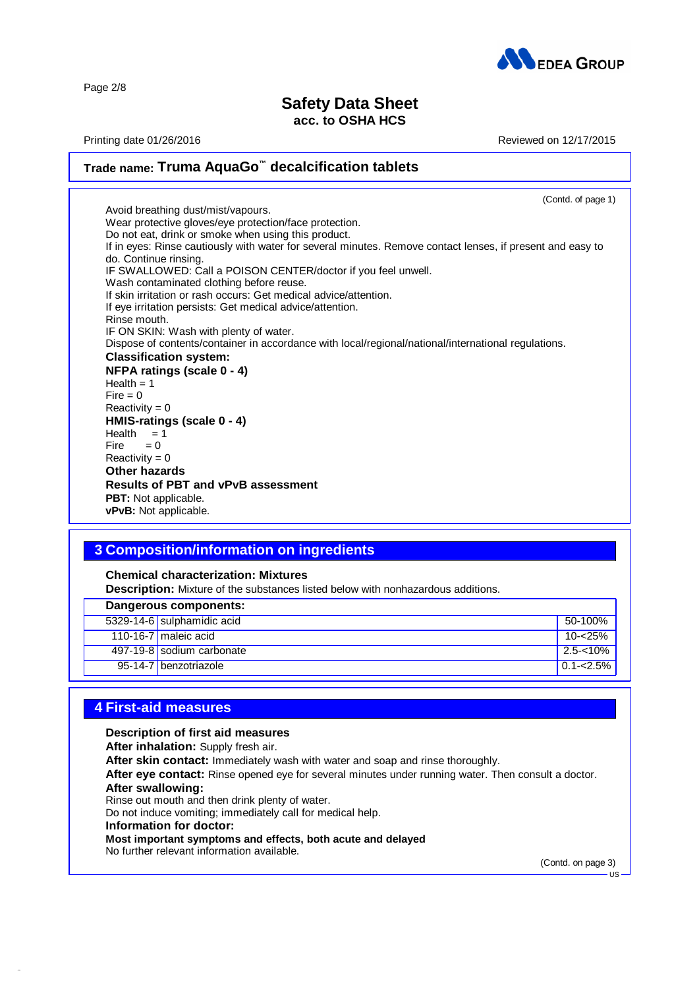

Page 2/8

# **Safety Data Sheet**

# **acc. to OSHA HCS**

Printing date 01/26/2016 **Reviewed on 12/17/2015** 

### **Trade name: Truma AquaGo ™ decalcification tablets** (Contd. of page 1) Avoid breathing dust/mist/vapours. Wear protective gloves/eye protection/face protection. Do not eat, drink or smoke when using this product. If in eyes: Rinse cautiously with water for several minutes. Remove contact lenses, if present and easy to do. Continue rinsing. IF SWALLOWED: Call a POISON CENTER/doctor if you feel unwell. Wash contaminated clothing before reuse. If skin irritation or rash occurs: Get medical advice/attention. If eye irritation persists: Get medical advice/attention. Rinse mouth. IF ON SKIN: Wash with plenty of water. Dispose of contents/container in accordance with local/regional/national/international regulations. **Classification system: NFPA ratings (scale 0 -4)**  $Health = 1$  $Fire = 0$  $Reactivity = 0$ **HMIS-ratings (scale 0 - 4)** Health  $= 1$ <br>Fire  $= 0$  $= 0$  $Reactivity = 0$ **Other hazards Results of PBT and vPvB assessment PBT:** Not applicable. **vPvB:** Not applicable.

# **3 Composition/information on ingredients**

### **Chemical characterization: Mixtures**

**Description:** Mixture of the substances listed below with nonhazardous additions.

| Dangerous components:      |               |
|----------------------------|---------------|
| 5329-14-6 sulphamidic acid | 50-100%       |
| 110-16-7 maleic acid       | 10-<25%       |
| 497-19-8 sodium carbonate  | $2.5 - 10%$   |
| 95-14-7 benzotriazole      | $0.1 - 2.5\%$ |

### **4 First-aid measures**

### **Description of first aid measures**

**After inhalation:** Supply fresh air.

**After skin contact:** Immediately wash with water and soap and rinse thoroughly.

**After eye contact:** Rinse opened eye for several minutes under running water. Then consult a doctor.

#### **After swallowing:**

42.0.1

Rinse out mouth and then drink plenty of water.

Do not induce vomiting; immediately call for medical help.

### **Information for doctor:**

**Most important symptoms and effects, both acute and delayed**

No further relevant information available.

(Contd. on page 3)

US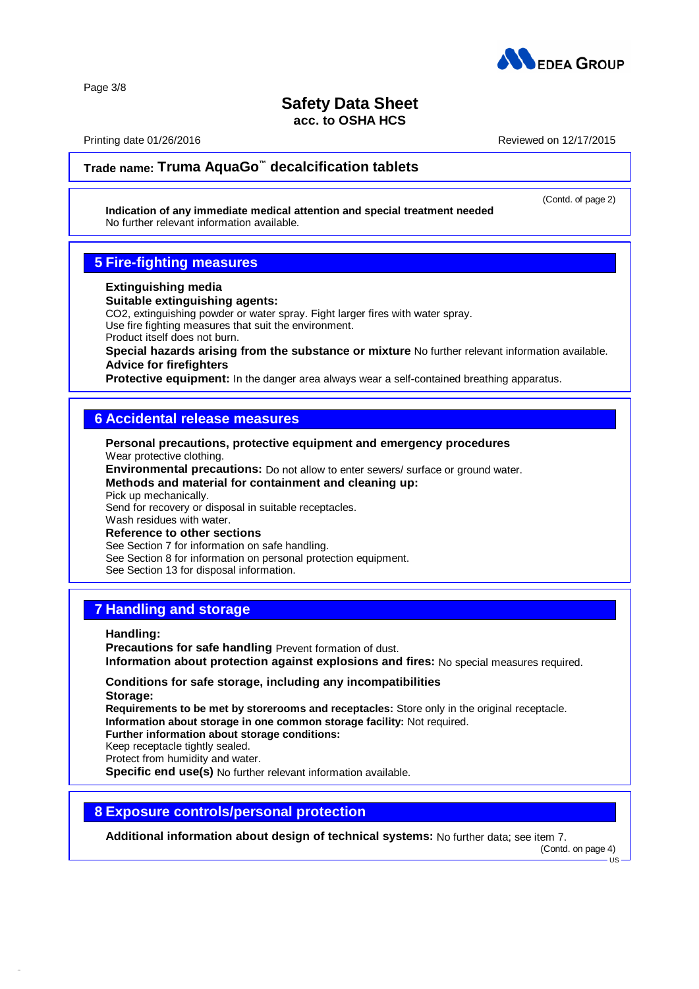

# **Safety Data Sheet**

**acc. to OSHA HCS**

Printing date 01/26/2016 Reviewed on 12/17/2015

(Contd. of page 2)

# **Trade name: Truma AquaGo ™ decalcification tablets**

**Indication of any immediate medical attention and special treatment needed** No further relevant information available.

# **5 Fire-fighting measures**

### **Extinguishing media**

### **Suitable extinguishing agents:**

CO2, extinguishing powder or water spray. Fight larger fires with water spray.

Use fire fighting measures that suit the environment.

Product itself does not burn.

**Special hazards arising from the substance or mixture** No further relevant information available. **Advice for firefighters**

**Protective equipment:** In the danger area always wear a self-contained breathing apparatus.

### **6 Accidental release measures**

**Personal precautions, protective equipment and emergency procedures** Wear protective clothing. **Environmental precautions:** Do not allow to enter sewers/ surface or ground water.

**Methods and material for containment and cleaning up:**

Pick up mechanically.

Send for recovery or disposal in suitable receptacles.

Wash residues with water. **Reference to other sections**

See Section 7 for information on safe handling.

See Section 8 for information on personal protection equipment.

See Section 13 for disposal information.

# **7 Handling and storage**

**Handling:**

42.0.1

**Precautions for safe handling** Prevent formation of dust. **Information about protection against explosions and fires:** No special measures required.

**Conditions for safe storage, including any incompatibilities Storage:**

**Requirements to be met by storerooms and receptacles:** Store only in the original receptacle. **Information about storage in one common storage facility:** Not required.

**Further information about storage conditions:**

Keep receptacle tightly sealed.

Protect from humidity and water.

**Specific end use(s)** No further relevant information available.

### **8 Exposure controls/personal protection**

**Additional information about design of technical systems:** No further data; see item 7.

(Contd. on page 4)

US

Page 3/8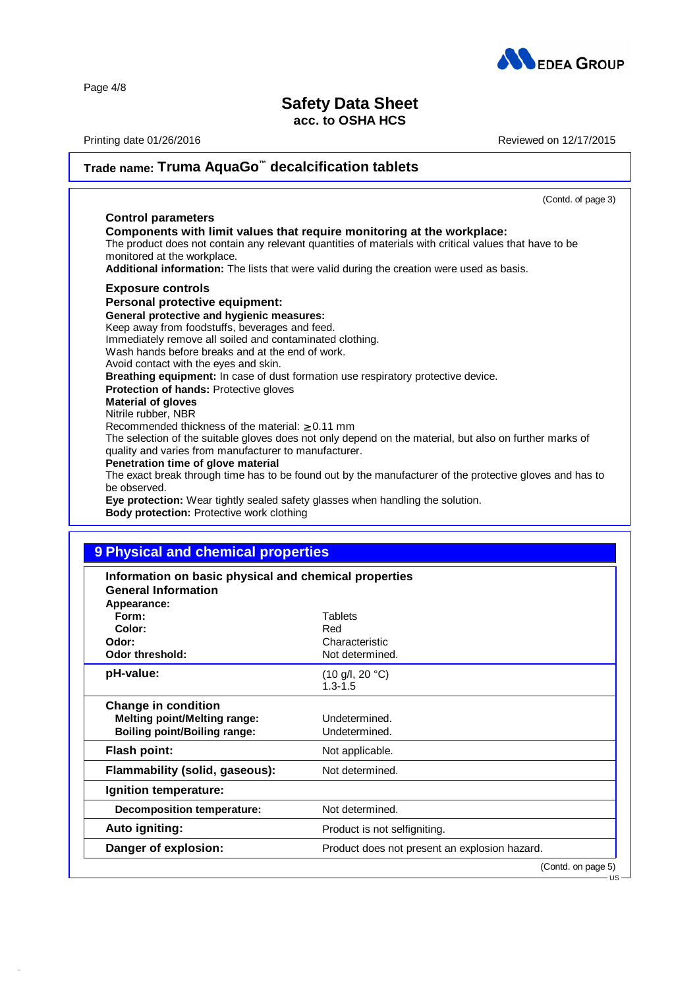

# **Safety Data Sheet**

# **acc. to OSHA HCS**

Printing date 01/26/2016 **Reviewed on 12/17/2015** 

US

| Trade name: Truma AquaGo™ decalcification tablets                                                                                                                                                                                                                                                                                                                                                                                                                                                                                                                                                                                                                                                                                                                                                                                                                                                                                                                                                                                   |  |
|-------------------------------------------------------------------------------------------------------------------------------------------------------------------------------------------------------------------------------------------------------------------------------------------------------------------------------------------------------------------------------------------------------------------------------------------------------------------------------------------------------------------------------------------------------------------------------------------------------------------------------------------------------------------------------------------------------------------------------------------------------------------------------------------------------------------------------------------------------------------------------------------------------------------------------------------------------------------------------------------------------------------------------------|--|
| (Contd. of page 3)                                                                                                                                                                                                                                                                                                                                                                                                                                                                                                                                                                                                                                                                                                                                                                                                                                                                                                                                                                                                                  |  |
| <b>Control parameters</b><br>Components with limit values that require monitoring at the workplace:<br>The product does not contain any relevant quantities of materials with critical values that have to be<br>monitored at the workplace.<br>Additional information: The lists that were valid during the creation were used as basis.                                                                                                                                                                                                                                                                                                                                                                                                                                                                                                                                                                                                                                                                                           |  |
| <b>Exposure controls</b><br>Personal protective equipment:<br>General protective and hygienic measures:<br>Keep away from foodstuffs, beverages and feed.<br>Immediately remove all soiled and contaminated clothing.<br>Wash hands before breaks and at the end of work.<br>Avoid contact with the eyes and skin.<br>Breathing equipment: In case of dust formation use respiratory protective device.<br>Protection of hands: Protective gloves<br><b>Material of gloves</b><br>Nitrile rubber, NBR<br>Recommended thickness of the material: $\geq 0.11$ mm<br>The selection of the suitable gloves does not only depend on the material, but also on further marks of<br>quality and varies from manufacturer to manufacturer.<br>Penetration time of glove material<br>The exact break through time has to be found out by the manufacturer of the protective gloves and has to<br>be observed.<br>Eye protection: Wear tightly sealed safety glasses when handling the solution.<br>Body protection: Protective work clothing |  |

# **9 Physical and chemical properties**

| Information on basic physical and chemical properties<br><b>General Information</b><br>Appearance:       |                                                                |
|----------------------------------------------------------------------------------------------------------|----------------------------------------------------------------|
| Form:                                                                                                    | Tablets                                                        |
| Color:                                                                                                   | Red                                                            |
| Odor:                                                                                                    | Characteristic                                                 |
| Odor threshold:                                                                                          | Not determined.                                                |
| pH-value:                                                                                                | $(10 \text{ g/l}, 20 \text{ }^{\circ}\text{C})$<br>$1.3 - 1.5$ |
| <b>Change in condition</b><br><b>Melting point/Melting range:</b><br><b>Boiling point/Boiling range:</b> | Undetermined.<br>Undetermined.                                 |
| <b>Flash point:</b>                                                                                      | Not applicable.                                                |
| Flammability (solid, gaseous):                                                                           | Not determined.                                                |
| Ignition temperature:                                                                                    |                                                                |
| Decomposition temperature:                                                                               | Not determined.                                                |
| Auto igniting:                                                                                           | Product is not selfigniting.                                   |
| Danger of explosion:                                                                                     | Product does not present an explosion hazard.                  |
|                                                                                                          | (Contd. on page 5)                                             |

42.0.1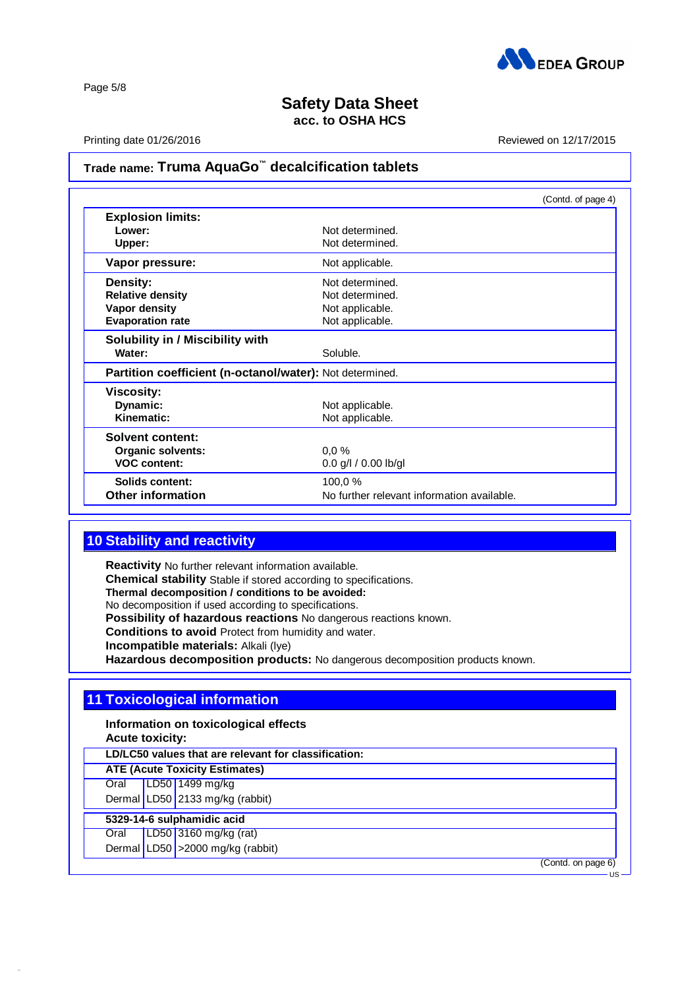

Page 5/8

# **Safety Data Sheet acc. to OSHA HCS**

Printing date 01/26/2016 **Reviewed on 12/17/2015** 

## **Trade name: Truma AquaGo ™ decalcification tablets**

|                                                          |                                            | (Contd. of page 4) |
|----------------------------------------------------------|--------------------------------------------|--------------------|
| <b>Explosion limits:</b>                                 |                                            |                    |
| Lower:                                                   | Not determined.                            |                    |
| Upper:                                                   | Not determined.                            |                    |
| Vapor pressure:                                          | Not applicable.                            |                    |
| Density:                                                 | Not determined.                            |                    |
| <b>Relative density</b>                                  | Not determined.                            |                    |
| Vapor density                                            | Not applicable.                            |                    |
| <b>Evaporation rate</b>                                  | Not applicable.                            |                    |
| Solubility in / Miscibility with                         |                                            |                    |
| Water:                                                   | Soluble.                                   |                    |
| Partition coefficient (n-octanol/water): Not determined. |                                            |                    |
| <b>Viscosity:</b>                                        |                                            |                    |
| Dynamic:                                                 | Not applicable.                            |                    |
| Kinematic:                                               | Not applicable.                            |                    |
| <b>Solvent content:</b>                                  |                                            |                    |
| Organic solvents:                                        | 0.0%                                       |                    |
| <b>VOC content:</b>                                      | $0.0$ g/l $/ 0.00$ lb/gl                   |                    |
| Solids content:                                          | 100,0 %                                    |                    |
| <b>Other information</b>                                 | No further relevant information available. |                    |

# **10 Stability and reactivity**

**Reactivity** No further relevant information available. **Chemical stability** Stable if stored according to specifications. **Thermal decomposition / conditions to be avoided:** No decomposition if used according to specifications. **Possibility of hazardous reactions** No dangerous reactions known. **Conditions to avoid** Protect from humidity and water. **Incompatible materials:** Alkali (lye) **Hazardous decomposition products:** No dangerous decomposition products known.

# **11 Toxicological information**

**Information on toxicological effects Acute toxicity:**

**LD/LC50 values that are relevant for classification:**

**ATE (Acute Toxicity Estimates)**

Oral LD50 1499 mg/kg Dermal LD50 2133 mg/kg (rabbit)

**5329-14-6 sulphamidic acid**

42.0.1

Oral LD50 3160 mg/kg (rat)

Dermal LD50 > 2000 mg/kg (rabbit)

(Contd. on page 6)

US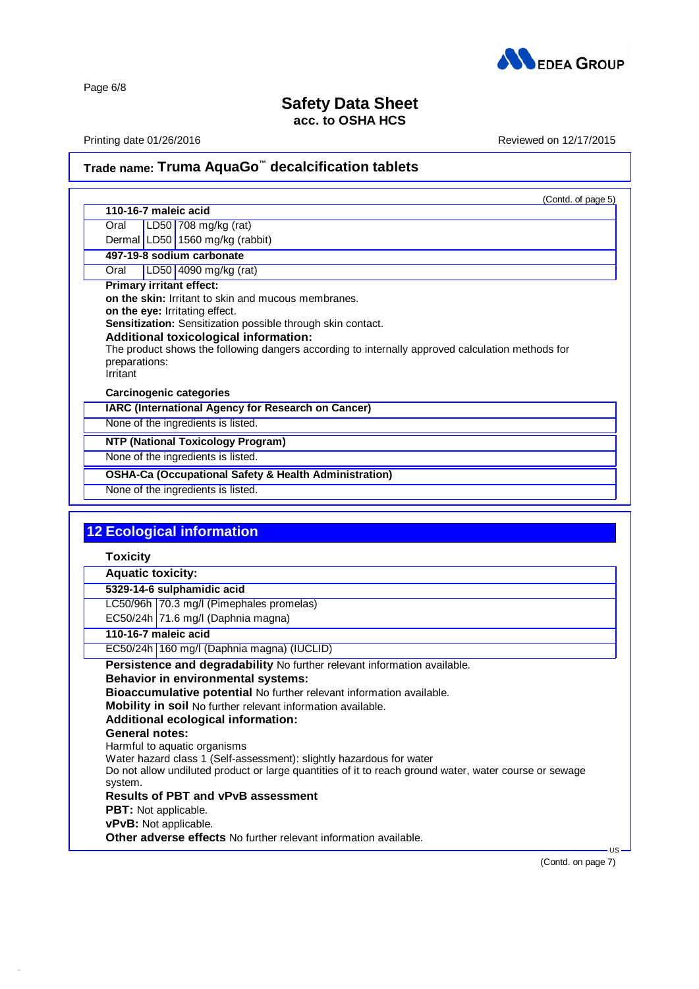

Page 6/8

42.0.1

# **Safety Data Sheet acc. to OSHA HCS**

Printing date 01/26/2016 **Reviewed on 12/17/2015** 

# **Trade name: Truma AquaGo ™ decalcification tablets**

|                                                      | (Contd. of page 5)                                                                                                                  |
|------------------------------------------------------|-------------------------------------------------------------------------------------------------------------------------------------|
| 110-16-7 maleic acid                                 |                                                                                                                                     |
| Oral                                                 | LD50 708 mg/kg (rat)                                                                                                                |
|                                                      | Dermal LD50 1560 mg/kg (rabbit)                                                                                                     |
|                                                      | 497-19-8 sodium carbonate                                                                                                           |
| Oral                                                 | LD50 4090 mg/kg (rat)                                                                                                               |
| <b>Primary irritant effect:</b>                      |                                                                                                                                     |
|                                                      | on the skin: Irritant to skin and mucous membranes.                                                                                 |
| on the eye: Irritating effect.                       | Sensitization: Sensitization possible through skin contact.                                                                         |
|                                                      | <b>Additional toxicological information:</b>                                                                                        |
|                                                      | The product shows the following dangers according to internally approved calculation methods for                                    |
| preparations:                                        |                                                                                                                                     |
| Irritant                                             |                                                                                                                                     |
| <b>Carcinogenic categories</b>                       |                                                                                                                                     |
|                                                      | IARC (International Agency for Research on Cancer)                                                                                  |
|                                                      | None of the ingredients is listed.                                                                                                  |
|                                                      | <b>NTP (National Toxicology Program)</b>                                                                                            |
|                                                      | None of the ingredients is listed.                                                                                                  |
|                                                      |                                                                                                                                     |
|                                                      | <b>OSHA-Ca (Occupational Safety &amp; Health Administration)</b>                                                                    |
|                                                      | None of the ingredients is listed.<br><b>12 Ecological information</b>                                                              |
|                                                      |                                                                                                                                     |
| <b>Toxicity</b><br><b>Aquatic toxicity:</b>          |                                                                                                                                     |
|                                                      | 5329-14-6 sulphamidic acid                                                                                                          |
|                                                      | LC50/96h 70.3 mg/l (Pimephales promelas)                                                                                            |
|                                                      | EC50/24h 71.6 mg/l (Daphnia magna)                                                                                                  |
| 110-16-7 maleic acid                                 |                                                                                                                                     |
|                                                      | EC50/24h 160 mg/l (Daphnia magna) (IUCLID)                                                                                          |
|                                                      |                                                                                                                                     |
|                                                      | Persistence and degradability No further relevant information available.                                                            |
|                                                      | Behavior in environmental systems:                                                                                                  |
|                                                      | Bioaccumulative potential No further relevant information available.<br>Mobility in soil No further relevant information available. |
|                                                      | Additional ecological information:                                                                                                  |
| <b>General notes:</b>                                |                                                                                                                                     |
|                                                      | Harmful to aquatic organisms                                                                                                        |
|                                                      | Water hazard class 1 (Self-assessment): slightly hazardous for water                                                                |
|                                                      | Do not allow undiluted product or large quantities of it to reach ground water, water course or sewage                              |
| system.                                              |                                                                                                                                     |
|                                                      | <b>Results of PBT and vPvB assessment</b>                                                                                           |
| <b>PBT:</b> Not applicable.<br>vPvB: Not applicable. |                                                                                                                                     |

**Other adverse effects** No further relevant information available.

(Contd. on page 7)

US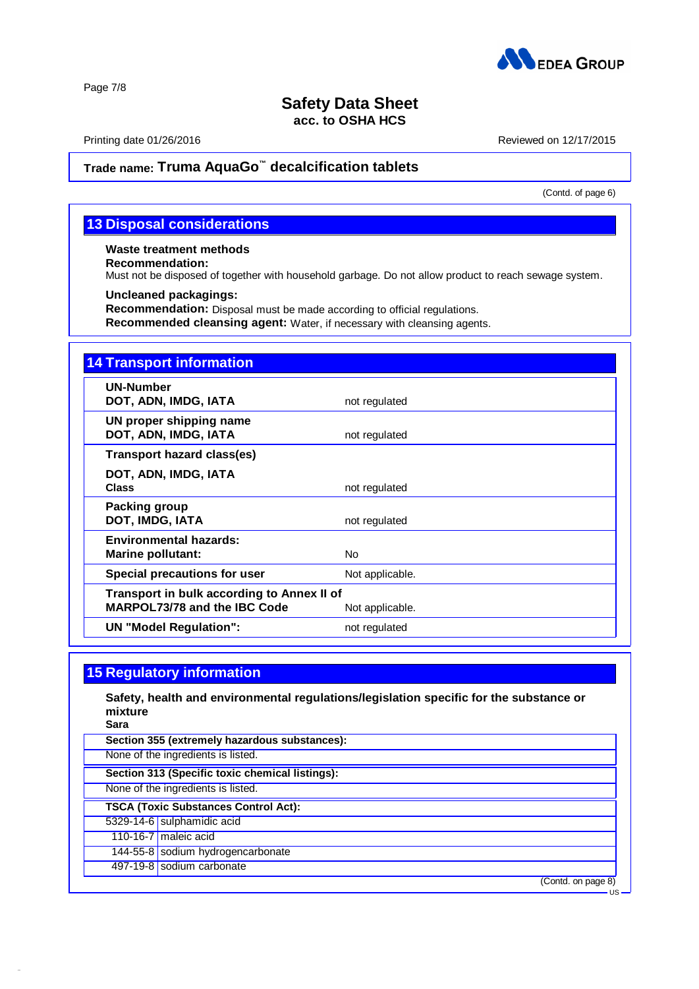

Page 7/8

# **Safety Data Sheet acc. to OSHA HCS**

Printing date 01/26/2016 **Reviewed on 12/17/2015** 

# **Trade name: Truma AquaGo ™ decalcification tablets**

(Contd. of page 6)

# **13 Disposal considerations**

**Waste treatment methods**

**Recommendation:**

Must not be disposed of together with household garbage. Do not allow product to reach sewage system.

### **Uncleaned packagings:**

**Recommendation:** Disposal must be made according to official regulations.

**Recommended cleansing agent:** Water, if necessary with cleansing agents.

| <b>14 Transport information</b>                                                   |                 |
|-----------------------------------------------------------------------------------|-----------------|
| <b>UN-Number</b><br>DOT, ADN, IMDG, IATA                                          | not regulated   |
| UN proper shipping name<br>DOT, ADN, IMDG, IATA                                   | not regulated   |
| <b>Transport hazard class(es)</b>                                                 |                 |
| DOT, ADN, IMDG, IATA<br><b>Class</b>                                              | not regulated   |
| <b>Packing group</b><br>DOT, IMDG, IATA                                           | not regulated   |
| <b>Environmental hazards:</b><br><b>Marine pollutant:</b>                         | No.             |
| Special precautions for user                                                      | Not applicable. |
| Transport in bulk according to Annex II of<br><b>MARPOL73/78 and the IBC Code</b> | Not applicable. |
| <b>UN "Model Regulation":</b>                                                     | not regulated   |

# **15 Regulatory information**

**Safety, health and environmental regulations/legislation specific for the substance or mixture**

**Sara**

42.0.1

| Section 355 (extremely hazardous substances):   |
|-------------------------------------------------|
| None of the ingredients is listed.              |
| Section 313 (Specific toxic chemical listings): |
| None of the ingredients is listed.              |
| <b>TSCA (Toxic Substances Control Act):</b>     |
| 5329-14-6 sulphamidic acid                      |
| 110-16-7 maleic acid                            |
| 144-55-8 sodium hydrogencarbonate               |
| 497-19-8 sodium carbonate                       |
| (Contd. on page 8)                              |
| -US                                             |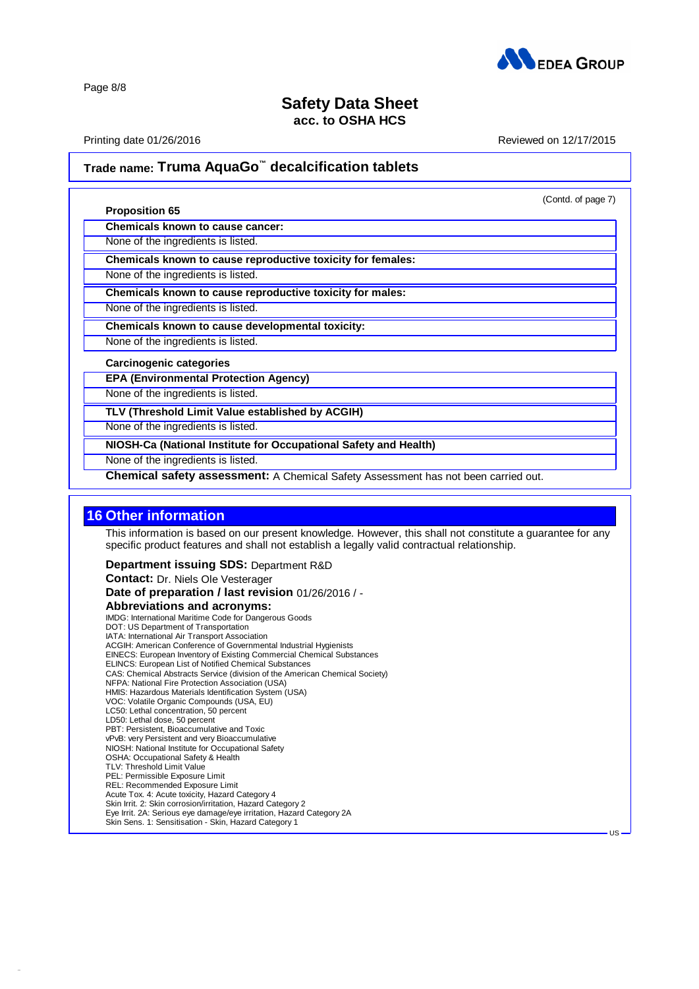

Page 8/8

## **Safety Data Sheet acc. to OSHA HCS**

Printing date 01/26/2016 **Reviewed on 12/17/2015** 

(Contd. of page 7)

US

# **Trade name: Truma AquaGo ™ decalcification tablets**

#### **Proposition 65**

**Chemicals known to cause cancer:**

None of the ingredients is listed.

**Chemicals known to cause reproductive toxicity for females:**

None of the ingredients is listed.

**Chemicals known to cause reproductive toxicity for males:**

None of the ingredients is listed.

**Chemicals known to cause developmental toxicity:**

None of the ingredients is listed.

#### **Carcinogenic categories**

**EPA (Environmental Protection Agency)**

None of the ingredients is listed.

**TLV (Threshold Limit Value established by ACGIH)**

None of the ingredients is listed.

**NIOSH-Ca (National Institute for Occupational Safety and Health)**

None of the ingredients is listed.

**Chemical safety assessment:** A Chemical Safety Assessment has not been carried out.

## **16 Other information**

42.0.1

This information is based on our present knowledge. However, this shall not constitute a guarantee for any specific product features and shall not establish a legally valid contractual relationship.

**Department issuing SDS:** Department R&D

**Contact:** Dr. Niels Ole Vesterager **Date of preparation / last revision** 01/26/2016 / - **Abbreviations and acronyms:** IMDG: International Maritime Code for Dangerous Goods DOT: US Department of Transportation IATA: International Air Transport Association ACGIH: American Conference of Governmental Industrial Hygienists EINECS: European Inventory of Existing Commercial Chemical Substances ELINCS: European List of Notified Chemical Substances CAS: Chemical Abstracts Service (division of the American Chemical Society) NFPA: National Fire Protection Association (USA) HMIS: Hazardous Materials Identification System (USA) VOC: Volatile Organic Compounds (USA, EU) LC50: Lethal concentration, 50 percent LD50: Lethal dose, 50 percent PBT: Persistent, Bioaccumulative and Toxic vPvB: very Persistent and very Bioaccumulative NIOSH: National Institute for Occupational Safety OSHA: Occupational Safety & Health TLV: Threshold Limit Value<br>PEL: Permissible Exposure Limit REL: Recommended Exposure Limit Acute Tox. 4: Acute toxicity, Hazard Category 4 Skin Irrit. 2: Skin corrosion/irritation, Hazard Category 2 Eye Irrit. 2A: Serious eye damage/eye irritation, Hazard Category 2A Skin Sens. 1: Sensitisation - Skin, Hazard Category 1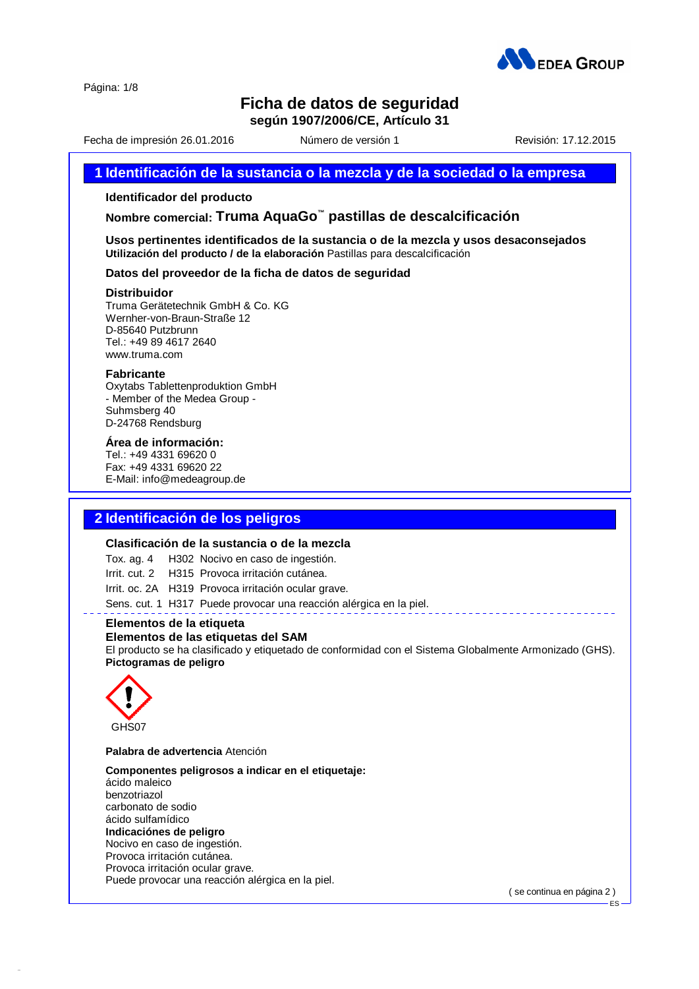

Página: 1/8

# **Ficha de datos de seguridad**

**según 1907/2006/CE, Artículo 31**

Fecha de impresión 26.01.2016 Número de versión 1 Revisión: 17.12.2015

### **1 Identificación de la sustancia o la mezcla y de la sociedad o la empresa**

### **Identificador del producto**

**Nombre comercial: Truma AquaGo ™ pastillas de descalcificación**

**Usos pertinentes identificados de la sustancia o de la mezcla y usos desaconsejados Utilización del producto / de la elaboración** Pastillas para descalcificación

### **Datos del proveedor de la ficha de datos de seguridad**

#### **Distribuidor**

Truma Gerätetechnik GmbH & Co. KG Wernher-von-Braun-Straße 12 D-85640 Putzbrunn Tel.: +49 89 4617 2640 [www.truma.com](http://www.truma.com)

#### **Fabricante**

Oxytabs Tablettenproduktion GmbH - Member of the Medea Group - Suhmsberg 40 D-24768 Rendsburg

### **Área de información:**

Tel.: +49 4331 69620 0 Fax: +49 4331 69620 22 E-Mail: info@medeagroup.de

### **2 Identificación de los peligros**

#### **Clasificación de la sustancia o de la mezcla**

Tox. ag. 4 H302 Nocivo en caso de ingestión.

Irrit. cut. 2 H315 Provoca irritación cutánea.

Irrit. oc. 2A H319 Provoca irritación ocular grave.

Sens. cut. 1 H317 Puede provocar una reacción alérgica en la piel.

### **Elementos de la etiqueta**

### **Elementos de las etiquetas del SAM**

El producto se ha clasificado y etiquetado de conformidad con el Sistema Globalmente Armonizado (GHS). **Pictogramas de peligro**



42.0.1

### **Palabra de advertencia** Atención

**Componentes peligrosos a indicar en eletiquetaje:** ácido maleico benzotriazol

carbonato de sodio ácido sulfamídico

### **Indicaciónes de peligro**

Nocivo en caso de ingestión. Provoca irritación cutánea. Provoca irritación ocular grave. Puede provocar una reacción alérgica en la piel.

( se continua en página 2 )

ES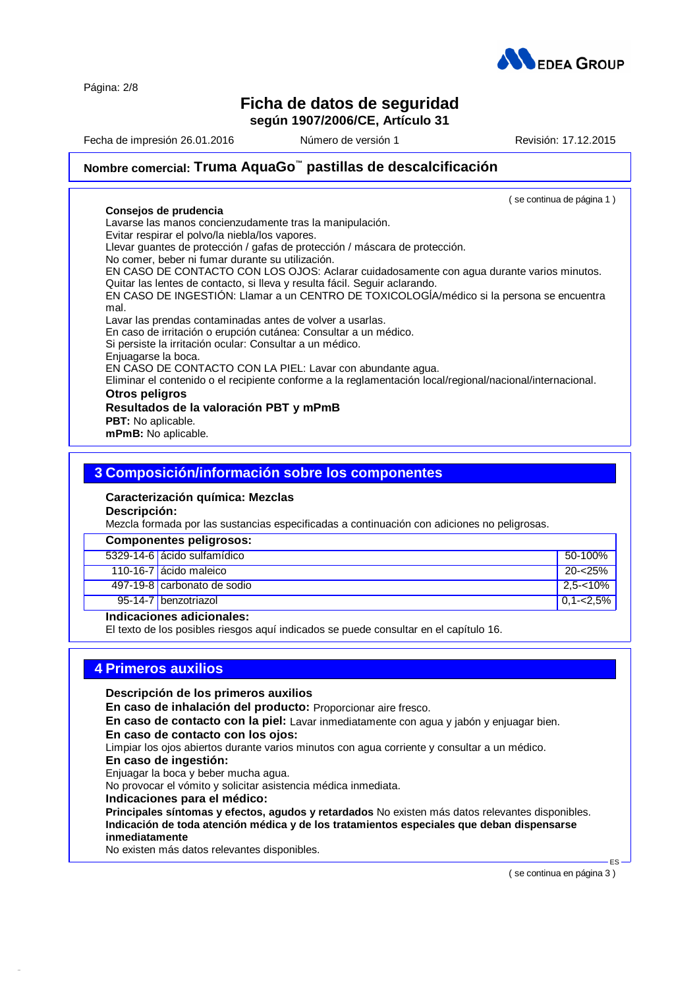Página: 2/8

# **Ficha de datos de seguridad según 1907/2006/CE, Artículo 31**

Fecha de impresión 26.01.2016 Número de versión 1 Revisión: 17.12.2015

( se continua de página 1 )

# **Nombre comercial: Truma AquaGo ™ pastillas de descalcificación**

#### **Consejos de prudencia**

Lavarse las manos concienzudamente tras la manipulación.

Evitar respirar el polvo/la niebla/los vapores.

Llevar guantes de protección / gafas de protección / máscara de protección.

No comer, beber ni fumar durante su utilización.

EN CASO DE CONTACTO CON LOS OJOS: Aclarar cuidadosamente con agua durante varios minutos. Quitar las lentes de contacto, si lleva y resulta fácil. Seguir aclarando.

EN CASO DE INGESTIÓN: Llamar a un CENTRO DE TOXICOLOGĺA/médico sila persona se encuentra mal.

Lavar las prendas contaminadas antes de volver a usarlas.

En caso de irritación o erupción cutánea: Consultar a un médico.

Si persiste la irritación ocular: Consultar a un médico.

Enjuagarse la boca.

EN CASO DE CONTACTO CON LA PIEL: Lavar con abundante agua.

Eliminar el contenido o elrecipiente conforme a la reglamentación local/regional/nacional/internacional.

### **Otros peligros**

### **Resultados de la valoración PBT y mPmB**

**PBT:** No aplicable.

**mPmB:** No aplicable.

### **3 Composición/información sobre los componentes**

# **Caracterización química: Mezclas**

**Descripción:**

Mezcla formada por las sustancias especificadas a continuación con adiciones no peligrosas.

| <b>Componentes peligrosos:</b> |               |
|--------------------------------|---------------|
| 5329-14-6 ácido sulfamídico    | 50-100%       |
| 110-16-7 ácido maleico         | 20-<25%       |
| 497-19-8 carbonato de sodio    | 2.5-<10%      |
| 95-14-7 benzotriazol           | $0.1 - 2.5\%$ |

### **Indicaciones adicionales:**

El texto de los posibles riesgos aquí indicados se puede consultar en elcapítulo 16.

### **4 Primeros auxilios**

**Descripción de los primeros auxilios**

**En caso de inhalación del producto:** Proporcionar aire fresco.

**En caso de contacto con la piel:** Lavar inmediatamente con agua y jabón y enjuagar bien.

### **En caso de contacto con los ojos:**

Limpiar los ojos abiertos durante varios minutos con agua corriente y consultar a un médico.

#### **En caso de ingestión:**

42.0.1

Enjuagar la boca y beber mucha agua.

No provocar el vómito y solicitar asistencia médica inmediata.

### **Indicaciones para el médico:**

**Principales síntomas y efectos, agudos y retardados** No existen más datos relevantes disponibles. **Indicación de toda atención médica y de los tratamientos especiales que deban dispensarse inmediatamente**

No existen más datos relevantes disponibles.

( se continua en página 3 )

 $ES -$ 

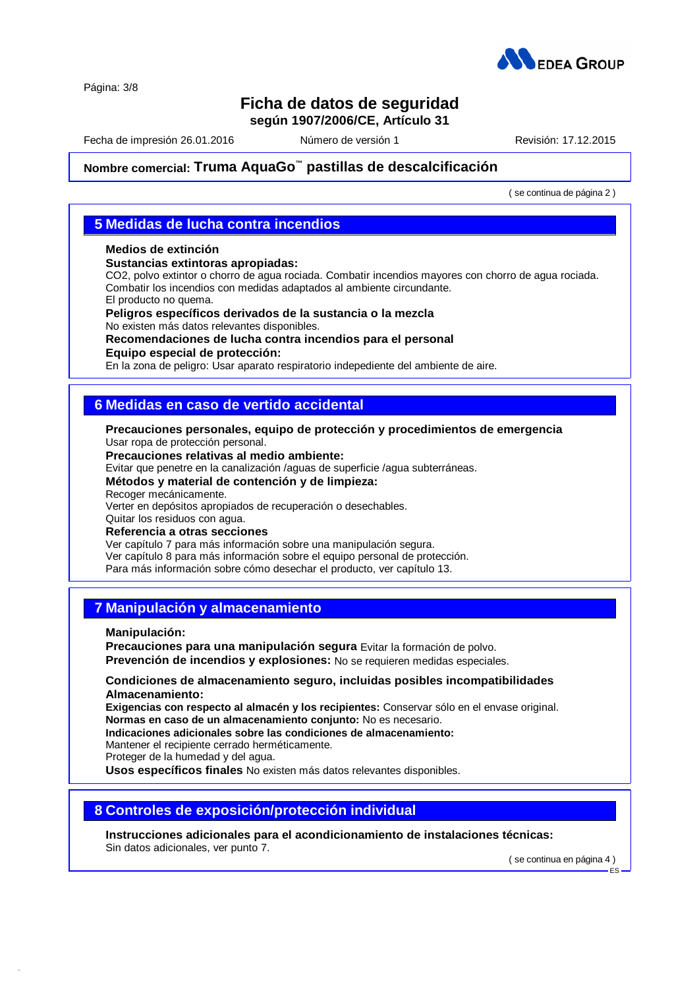

Página: 3/8

# **Ficha de datos de seguridad**

**según 1907/2006/CE, Artículo 31**

Fecha de impresión 26.01.2016 Número de versión 1 Revisión: 17.12.2015

# **Nombre comercial: Truma AquaGo ™ pastillas de descalcificación**

( se continua de página 2 )

### **5 Medidas de lucha contra incendios**

### **Medios de extinción**

**Sustancias extintoras apropiadas:**

CO2, polvo extintor o chorro de agua rociada. Combatir incendios mayores con chorro de agua rociada. Combatir los incendios con medidas adaptados al ambiente circundante.

El producto no quema.

**Peligros específicos derivados de la sustancia o la mezcla** No existen más datos relevantes disponibles.

### **Recomendaciones de lucha contra incendios para el personal**

**Equipo especial de protección:**

En la zona de peligro: Usar aparato respiratorio indepediente del ambiente de aire.

## **6 Medidas en caso de vertido accidental**

**Precauciones personales, equipo de protección y procedimientos de emergencia** Usar ropa de protección personal.

**Precauciones relativas al medio ambiente:**

Evitar que penetre en la canalización /aguas de superficie /agua subterráneas.

**Métodos y material de contención y de limpieza:**

Recoger mecánicamente.

Verter en depósitos apropiados de recuperación o desechables.

Quitar los residuos con agua. **Referencia a otras secciones**

Ver capítulo 7 para más información sobre una manipulación segura. Ver capítulo 8 para más información sobre el equipo personal de protección. Para más información sobre cómo desechar el producto, ver capítulo 13.

## **7 Manipulación y almacenamiento**

**Manipulación:**

42.0.1

**Precauciones para una manipulación segura** Evitar la formación de polvo. **Prevención de incendios y explosiones:** No se requieren medidas especiales.

### **Condiciones de almacenamiento seguro, incluidas posibles incompatibilidades Almacenamiento:**

**Exigencias con respecto al almacén y los recipientes:** Conservar sólo en elenvase original. **Normas en caso de un almacenamiento conjunto:** No es necesario.

**Indicaciones adicionales sobre las condiciones de almacenamiento:**

Mantener el recipiente cerrado herméticamente.

Proteger de la humedad y del agua.

**Usos específicos finales** No existen más datos relevantes disponibles.

## **8 Controles de exposición/protección individual**

**Instrucciones adicionales para el acondicionamiento de instalaciones técnicas:** Sin datos adicionales, ver punto 7.

( se continua en página 4 )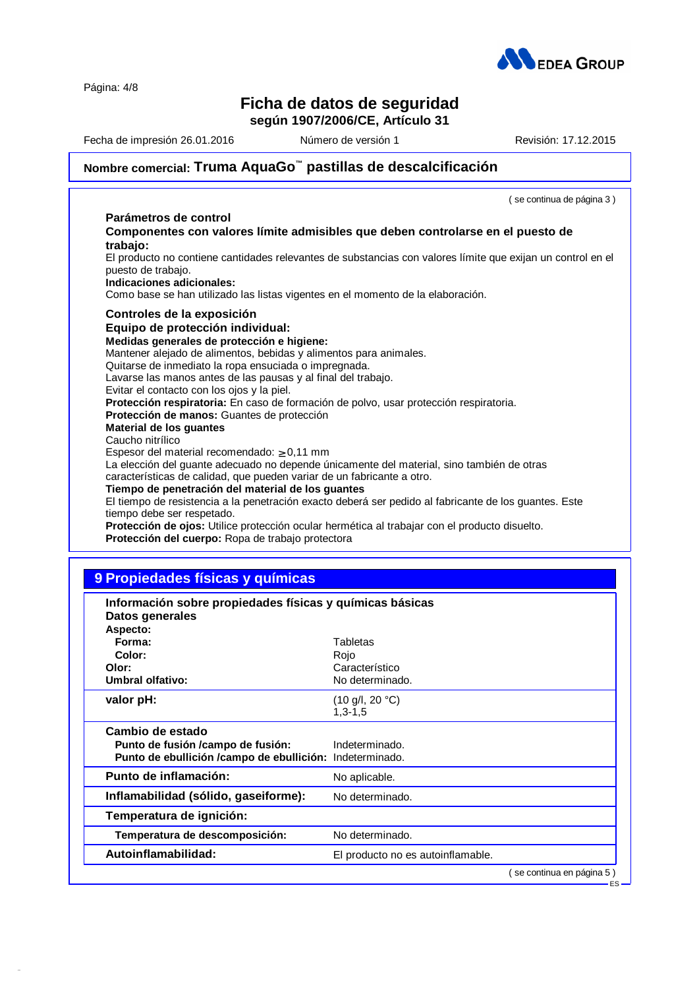Página: 4/8

# **AN** EDEA GROUP

# **Ficha de datos de seguridad**

**según 1907/2006/CE, Artículo 31**

Fecha de impresión 26.01.2016 **Número de versión 1 1** Revisión: 17.12.2015

# **Nombre comercial: Truma AquaGo ™ pastillas de descalcificación**

|                                                                                                                                                                     | (se continua de página 3) |
|---------------------------------------------------------------------------------------------------------------------------------------------------------------------|---------------------------|
| Parámetros de control                                                                                                                                               |                           |
| Componentes con valores límite admisibles que deben controlarse en el puesto de<br>trabajo:                                                                         |                           |
| El producto no contiene cantidades relevantes de substancias con valores límite que exijan un control en el<br>puesto de trabajo.<br>Indicaciones adicionales:      |                           |
| Como base se han utilizado las listas vigentes en el momento de la elaboración.                                                                                     |                           |
| Controles de la exposición                                                                                                                                          |                           |
| Equipo de protección individual:                                                                                                                                    |                           |
| Medidas generales de protección e higiene:                                                                                                                          |                           |
| Mantener alejado de alimentos, bebidas y alimentos para animales.                                                                                                   |                           |
| Quitarse de inmediato la ropa ensuciada o impregnada.                                                                                                               |                           |
| Lavarse las manos antes de las pausas y al final del trabajo.                                                                                                       |                           |
| Evitar el contacto con los ojos y la piel.                                                                                                                          |                           |
| Protección respiratoria: En caso de formación de polvo, usar protección respiratoria.                                                                               |                           |
| Protección de manos: Guantes de protección                                                                                                                          |                           |
| Material de los guantes                                                                                                                                             |                           |
| Caucho nitrílico                                                                                                                                                    |                           |
| Espesor del material recomendado: $\geq 0,11$ mm                                                                                                                    |                           |
| La elección del guante adecuado no depende únicamente del material, sino también de otras<br>características de calidad, que pueden variar de un fabricante a otro. |                           |
| Tiempo de penetración del material de los guantes                                                                                                                   |                           |
| El tiempo de resistencia a la penetración exacto deberá ser pedido al fabricante de los guantes. Este<br>tiempo debe ser respetado.                                 |                           |
| Protección de ojos: Utilice protección ocular hermética al trabajar con el producto disuelto.<br>Protección del cuerpo: Ropa de trabajo protectora                  |                           |
|                                                                                                                                                                     |                           |

# **9 Propiedades físicas y químicas**

42.0.1

| Información sobre propiedades físicas y químicas básicas<br>Datos generales                                        |                                                       |                          |
|--------------------------------------------------------------------------------------------------------------------|-------------------------------------------------------|--------------------------|
| Aspecto:<br>Forma:<br>Color:<br>Olor:<br><b>Umbral olfativo:</b>                                                   | Tabletas<br>Rojo<br>Característico<br>No determinado. |                          |
| valor pH:                                                                                                          | $(10 \text{ g/l}, 20 \text{ °C})$<br>$1.3 - 1.5$      |                          |
| Cambio de estado<br>Punto de fusión /campo de fusión:<br>Punto de ebullición / campo de ebullición: Indeterminado. | Indeterminado.                                        |                          |
| Punto de inflamación:                                                                                              | No aplicable.                                         |                          |
| Inflamabilidad (sólido, gaseiforme):                                                                               | No determinado.                                       |                          |
| Temperatura de ignición:                                                                                           |                                                       |                          |
| Temperatura de descomposición:                                                                                     | No determinado.                                       |                          |
| Autoinflamabilidad:                                                                                                | El producto no es autoinflamable.                     |                          |
|                                                                                                                    |                                                       | se continua en página 5) |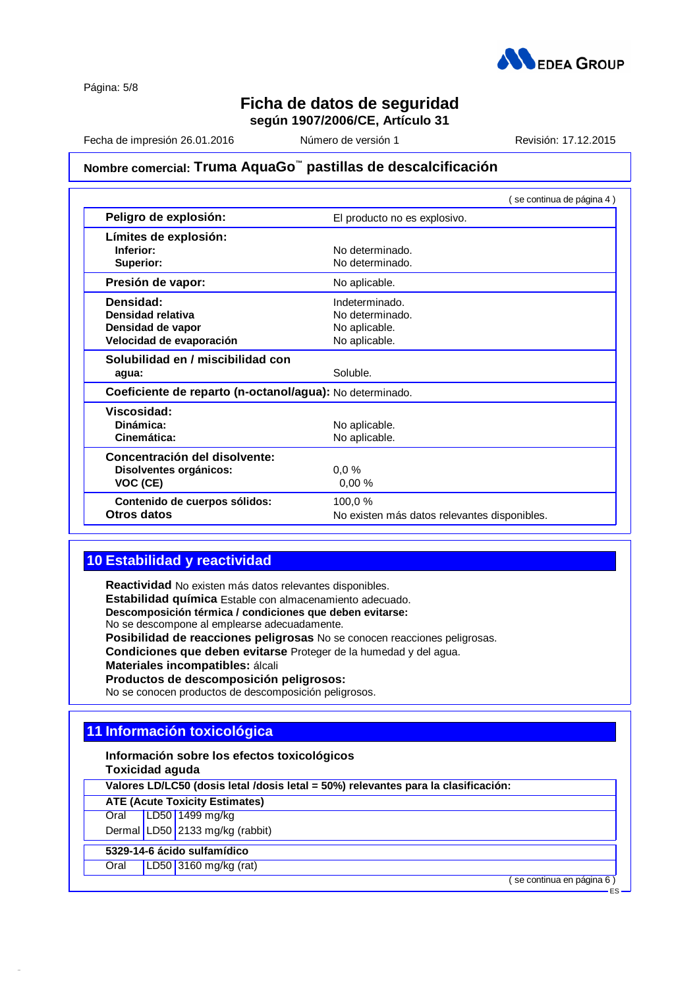

Página: 5/8

# **Ficha de datos de seguridad**

**según 1907/2006/CE, Artículo 31**

Fecha de impresión 26.01.2016 Número de versión 1 Revisión: 17.12.2015

# **Nombre comercial: Truma AquaGo ™ pastillas de descalcificación**

|                                                          | (se continua de página 4)                    |
|----------------------------------------------------------|----------------------------------------------|
| Peligro de explosión:                                    | El producto no es explosivo.                 |
| Límites de explosión:                                    |                                              |
| Inferior:                                                | No determinado.                              |
| Superior:                                                | No determinado.                              |
| Presión de vapor:                                        | No aplicable.                                |
| Densidad:                                                | Indeterminado.                               |
| Densidad relativa                                        | No determinado.                              |
| Densidad de vapor                                        | No aplicable.                                |
| Velocidad de evaporación                                 | No aplicable.                                |
| Solubilidad en / miscibilidad con                        |                                              |
| agua:                                                    | Soluble.                                     |
| Coeficiente de reparto (n-octanol/agua): No determinado. |                                              |
| Viscosidad:                                              |                                              |
| Dinámica:                                                | No aplicable.                                |
| Cinemática:                                              | No aplicable.                                |
| Concentración del disolvente:                            |                                              |
| Disolventes orgánicos:                                   | 0.0%                                         |
| VOC (CE)                                                 | 0.00%                                        |
| Contenido de cuerpos sólidos:                            | 100,0 %                                      |
| Otros datos                                              | No existen más datos relevantes disponibles. |

# **10 Estabilidad y reactividad**

**Reactividad** No existen más datos relevantes disponibles. **Estabilidad química** Estable con almacenamiento adecuado. **Descomposición térmica / condiciones que deben evitarse:** No se descompone al emplearse adecuadamente. **Posibilidad de reacciones peligrosas** No se conocen reacciones peligrosas. **Condiciones que deben evitarse** Proteger de la humedad y del agua. **Materiales incompatibles:** álcali **Productos de descomposición peligrosos:** No se conocen productos de descomposición peligrosos.

# **11 Información toxicológica**

**Información sobre los efectos toxicológicos Toxicidad aguda**

**Valores LD/LC50 (dosis letal /dosis letal = 50%) relevantes para la clasificación:**

**ATE (Acute Toxicity Estimates)**

Oral LD50 1499 mg/kg

Dermal LD50 2133 mg/kg (rabbit)

### **5329-14-6 ácido sulfamídico**

42.0.1

Oral LD50 3160 mg/kg (rat)

( se continua en página 6 )

ES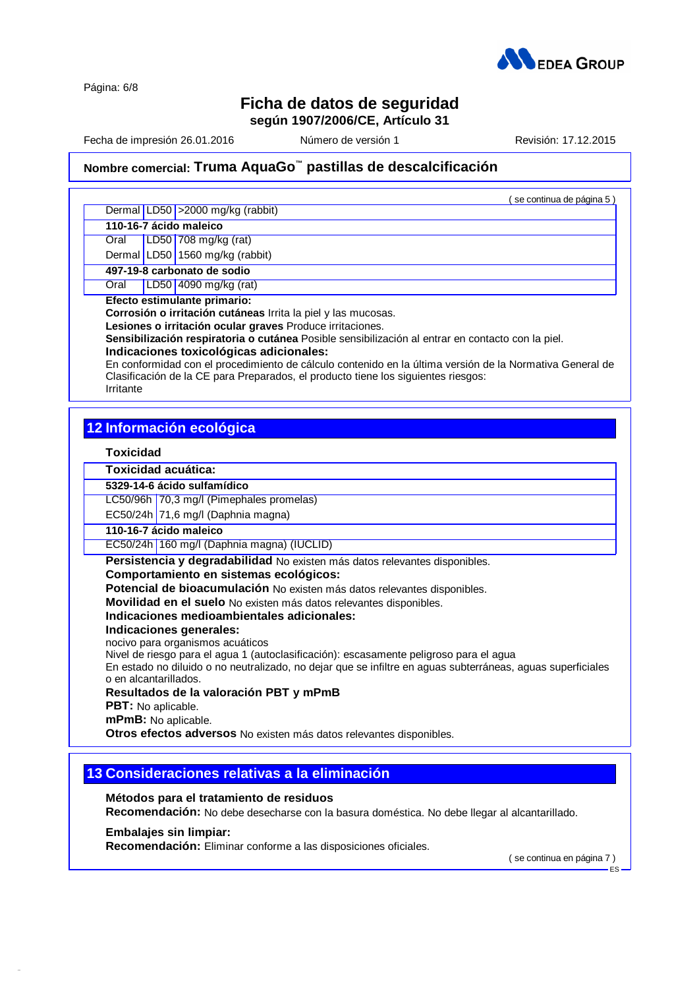

Página: 6/8

# **Ficha de datos de seguridad**

**según 1907/2006/CE, Artículo 31**

Fecha de impresión 26.01.2016 Número de versión 1 Revisión: 17.12.2015

( se continua de página 5 )

# **Nombre comercial: Truma AquaGo ™ pastillas de descalcificación**

Dermal LD50 > 2000 mg/kg (rabbit)

**110-16-7 ácido maleico**

Oral LD50 708 mg/kg (rat) Dermal LD50 1560 mg/kg (rabbit)

**497-19-8 carbonato de sodio**

Oral LD50 4090 mg/kg (rat)

**Efecto estimulante primario:**

**Corrosión o irritación cutáneas** Irrita la piel y las mucosas.

**Lesiones o irritación ocular graves** Produce irritaciones.

**Sensibilización respiratoria o cutánea** Posible sensibilización alentrar en contacto con la piel.

### **Indicaciones toxicológicas adicionales:**

En conformidad con el procedimiento de cálculo contenido en la última versión de la Normativa General de Clasificación de la CE para Preparados, el producto tiene los siguientes riesgos: Irritante

# **12 Información ecológica**

### **Toxicidad**

**Toxicidad acuática:**

**5329-14-6 ácido sulfamídico**

LC50/96h 70,3 mg/l (Pimephales promelas)

EC50/24h  $71,6$  mg/l (Daphnia magna)

### **110-16-7 ácido maleico**

EC50/24h 160 mg/l (Daphnia magna) (IUCLID)

**Persistencia y degradabilidad** No existen más datos relevantes disponibles.

### **Comportamiento en sistemas ecológicos:**

**Potencial de bioacumulación** No existen más datos relevantes disponibles.

**Movilidad en el suelo** No existen más datos relevantes disponibles.

### **Indicaciones medioambientales adicionales:**

**Indicaciones generales:**

nocivo para organismos acuáticos

Nivel de riesgo para el agua 1 (autoclasificación): escasamente peligroso para el agua

En estado no diluido o no neutralizado, no dejar que se infiltre en aguas subterráneas, aguas superficiales o en alcantarillados.

### **Resultados de la valoración PBT y mPmB**

**PBT:** No aplicable.

**mPmB:** No aplicable.

**Otros efectos adversos** No existen más datos relevantes disponibles.

# **13 Consideraciones relativas a la eliminación**

### **Métodos para el tratamiento de residuos**

**Recomendación:** No debe desecharse con la basura doméstica. No debe llegar al alcantarillado.

### **Embalajes sin limpiar:**

42.0.1

**Recomendación:** Eliminar conforme a las disposiciones oficiales.

( se continua en página 7 )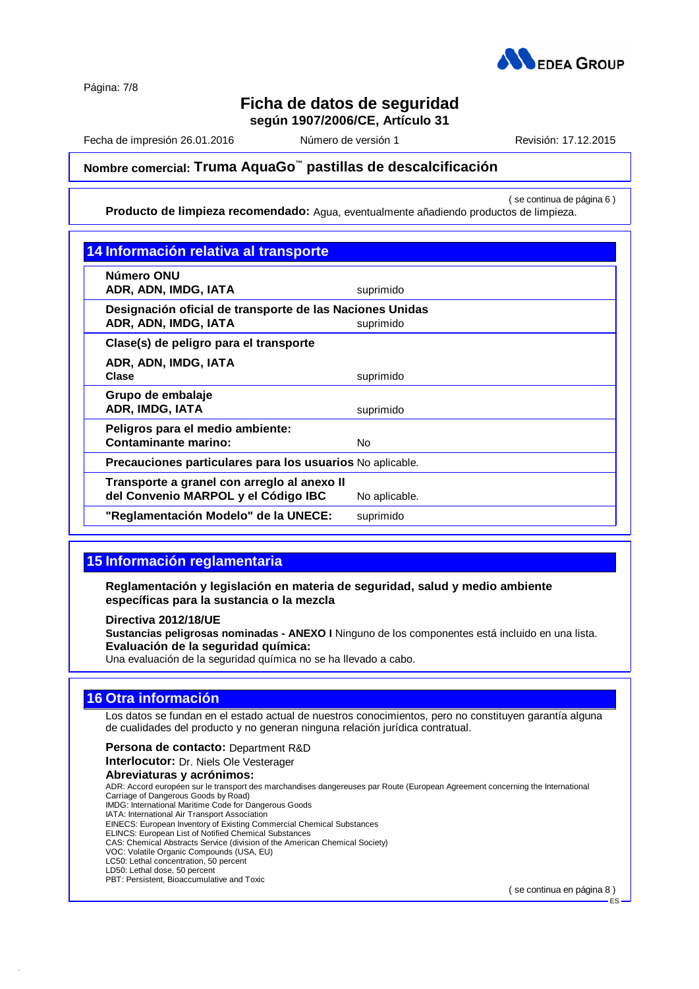

Página: 7/8

# **Ficha de datos de seguridad**

**según 1907/2006/CE, Artículo 31**

Fecha de impresión 26.01.2016 Número de versión 1 Revisión: 17.12.2015

# **Nombre comercial: Truma AquaGo ™ pastillas de descalcificación**

( se continua de página 6 ) **Producto de limpieza recomendado:** Agua, eventualmente añadiendo productos de limpieza.

| Número ONU                                                |               |
|-----------------------------------------------------------|---------------|
| ADR, ADN, IMDG, IATA                                      | suprimido     |
| Designación oficial de transporte de las Naciones Unidas  |               |
| ADR, ADN, IMDG, IATA                                      | suprimido     |
| Clase(s) de peligro para el transporte                    |               |
| ADR, ADN, IMDG, IATA                                      |               |
| Clase                                                     | suprimido     |
| Grupo de embalaje                                         |               |
| ADR, IMDG, IATA                                           | suprimido     |
| Peligros para el medio ambiente:                          |               |
| Contaminante marino:                                      | No.           |
| Precauciones particulares para los usuarios No aplicable. |               |
| Transporte a granel con arreglo al anexo II               |               |
| del Convenio MARPOL y el Código IBC                       | No aplicable. |
| "Reglamentación Modelo" de la UNECE:                      | suprimido     |

# **15 Información reglamentaria**

**Reglamentación y legislación en materia de seguridad, salud y medio ambiente específicas para la sustancia o la mezcla**

**Directiva 2012/18/UE**

**Sustancias peligrosas nominadas - ANEXO I** Ninguno de los componentes está incluido en una lista. **Evaluación de la seguridad química:** Una evaluación de la seguridad química no se ha llevado a cabo.

# **16 Otra información**

42.0.1

Los datos se fundan en el estado actual de nuestros conocimientos, pero no constituyen garantía alguna de cualidades del producto y no generan ninguna relación jurídica contratual.

**Persona de contacto:** Department R&D **Interlocutor:** Dr. Niels Ole Vesterager **Abreviaturas y acrónimos:** ADR: Accord européen sur le transport des marchandises dangereuses par Route (European Agreement concerning the International Carriage of Dangerous Goods by Road) IMDG: International Maritime Code for Dangerous Goods

IATA: International Air Transport Association EINECS: European Inventory of Existing Commercial Chemical Substances ELINCS: European List of Notified Chemical Substances CAS: Chemical Abstracts Service (division of the American Chemical Society) VOC: Volatile Organic Compounds (USA, EU) LC50: Lethal concentration, 50 percent LD50: Lethal dose, 50 percent PBT: Persistent, Bioaccumulative and Toxic

( se continua en página 8 )

ES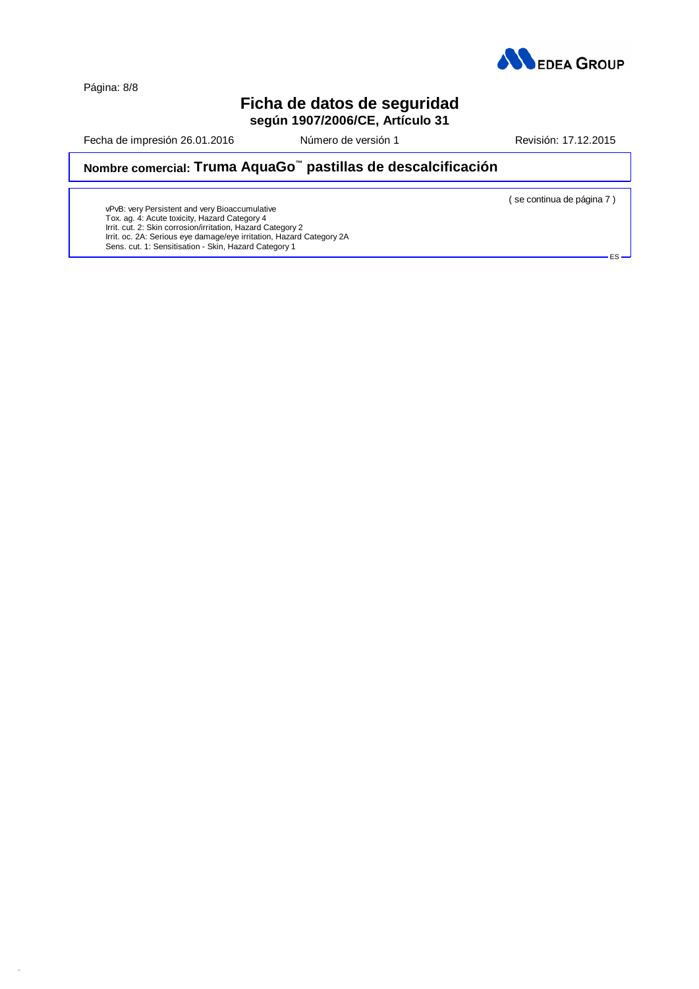

Página: 8/8

42.0.1

# **Ficha de datos de seguridad**

**según 1907/2006/CE, Artículo 31**

Fecha de impresión 26.01.2016 **Número de versión 1** Revisión: 17.12.2015

## **Nombre comercial: Truma AquaGo ™ pastillas de descalcificación**

( se continua de página 7 )

ES

vPvB: very Persistent and very Bioaccumulative<br>Tox. ag. 4: Acute toxicity, Hazard Category 4<br>Irrit. cut. 2: Skin corrosion/irritation, Hazard Category 2 Irrit. oc. 2A: Serious eye damage/eye irritation, Hazard Category 2A Sens. cut. 1: Sensitisation - Skin, Hazard Category 1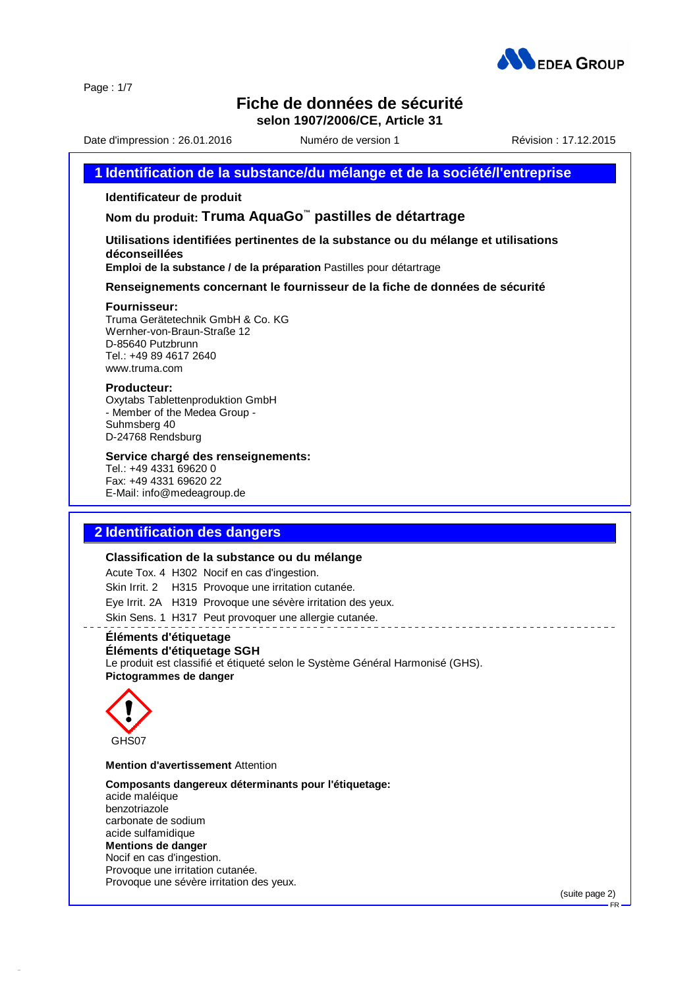

Page : 1/7

# **Fiche de données de sécurité**

**selon 1907/2006/CE, Article 31**

Date d'impression : 26.01.2016 Numéro de version 1 Révision : 17.12.2015

### **1 Identification de la substance/du mélange et de la société/l'entreprise**

### **Identificateur de produit**

**Nom du produit: Truma AquaGo ™ pastilles de détartrage**

### **Utilisations identifiées pertinentes de la substance ou du mélange et utilisations déconseillées**

**Emploi de la substance / de la préparation** Pastilles pour détartrage

**Renseignements concernant le fournisseur de la fiche de données de sécurité**

#### **Fournisseur:**

Truma Gerätetechnik GmbH & Co. KG Wernher-von-Braun-Straße 12 D-85640 Putzbrunn Tel.: +49 89 4617 2640 [www.truma.com](http://www.truma.com)

#### **Producteur:**

Oxytabs Tablettenproduktion GmbH - Member of the Medea Group - Suhmsberg 40 D-24768 Rendsburg

### **Service chargé des renseignements:**

Tel.: +49 4331 69620 0 Fax: +49 4331 69620 22 E-Mail: info@medeagroup.de

# **2 Identification des dangers**

#### **Classification de la substance ou du mélange**

Acute Tox. 4 H302 Nocif en cas d'ingestion. Skin Irrit. 2 H315 Provoque une irritation cutanée. Eye Irrit. 2A H319 Provoque une sévère irritation des yeux. Skin Sens. 1 H317 Peut provoquer une allergie cutanée.

# **Éléments d'étiquetage**

# **Éléments d'étiquetage SGH**

Le produit est classifié et étiqueté selon le Système Général Harmonisé (GHS). **Pictogrammes de danger**



42.0.1

### **Mention d'avertissement** Attention

**Composants dangereux déterminants pour l'étiquetage:** acide maléique benzotriazole carbonate de sodium acide sulfamidique **Mentions de danger** Nocif en cas d'ingestion. Provoque une irritation cutanée. Provoque une sévère irritation des yeux.

(suite page 2)

FR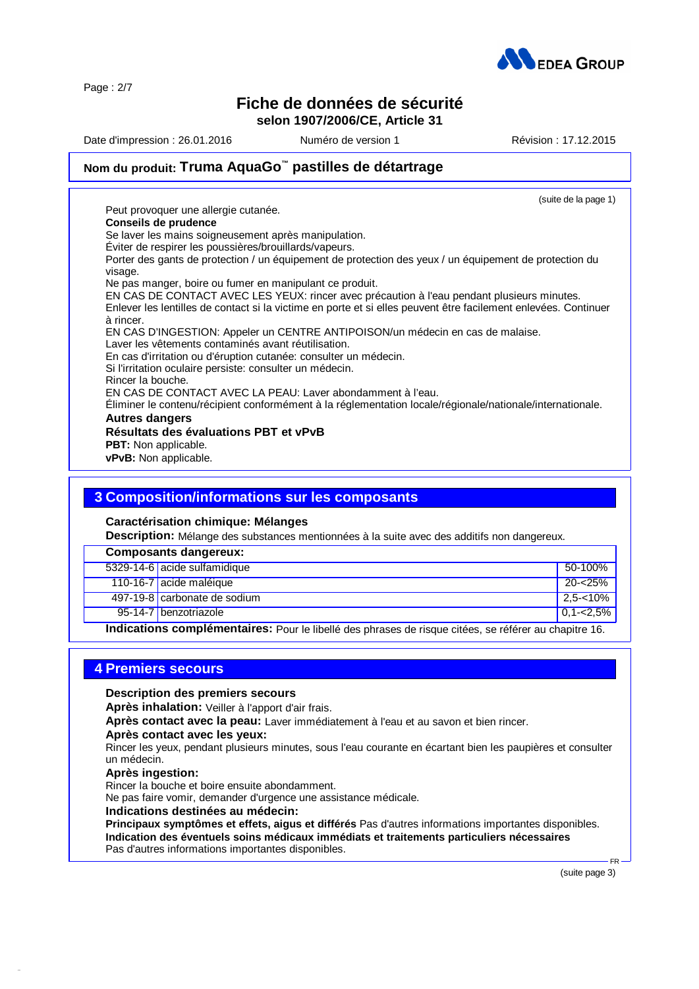

Page : 2/7

# **Fiche de données de sécurité**

**selon 1907/2006/CE, Article 31**

Date d'impression : 26.01.2016 Numéro de version 1 Révision : 17.12.2015

# **Nom du produit: Truma AquaGo ™ pastilles de détartrage**

(suite de la page 1) Peut provoquer une allergie cutanée. **Conseils de prudence** Se laver les mains soigneusement après manipulation. Éviter de respirer les poussières/brouillards/vapeurs. Porter des gants de protection / un équipement de protection des yeux / un équipement de protection du visage. Ne pas manger, boire ou fumer en manipulant ce produit. EN CAS DE CONTACT AVEC LES YEUX: rincer avec précaution à l'eau pendant plusieurs minutes. Enlever les lentilles de contact si la victime en porte et si elles peuvent être facilement enlevées. Continuer à rincer. EN CAS D'INGESTION: Appeler un CENTRE ANTIPOISON/un médecin en cas de malaise. Laver les vêtements contaminés avant réutilisation. En cas d'irritation ou d'éruption cutanée: consulter un médecin. Si l'irritation oculaire persiste: consulter un médecin. Rincer la bouche. EN CAS DE CONTACT AVEC LA PEAU: Laver abondamment à l'eau. Éliminer le contenu/récipient conformément à la réglementation locale/régionale/nationale/internationale. **Autres dangers Résultats des évaluations PBT et vPvB PBT:** Non applicable. **vPvB:** Non applicable.

# **3 Composition/informations sur les composants**

**Caractérisation chimique: Mélanges**

**Description:** Mélange des substances mentionnées à la suite avec des additifs non dangereux.

| <b>Composants dangereux:</b>                                                                                        |                              |                 |  |
|---------------------------------------------------------------------------------------------------------------------|------------------------------|-----------------|--|
|                                                                                                                     | 5329-14-6 acide sulfamidique | 50-100%         |  |
|                                                                                                                     | 110-16-7 acide maléique      | 20-<25%         |  |
|                                                                                                                     | 497-19-8 carbonate de sodium | $2.5 - 10\%$    |  |
|                                                                                                                     | 95-14-7 benzotriazole        | $ 0.1 - 2.5\% $ |  |
| رة في التاريخ التي التي توفي التي توسط التي التي توسط التي التي التي توسط المستقدم المستقدم المساركة المسارة المسار |                              |                 |  |

**Indications complémentaires:** Pour le libellé des phrases de risque citées, se référer au chapitre 16.

### **4 Premiers secours**

**Description des premiers secours**

**Après inhalation:** Veiller à l'apport d'air frais.

**Après contact avec la peau:** Laver immédiatement à l'eau et au savon et bien rincer.

### **Après contact avec les yeux:**

Rincer les yeux, pendant plusieurs minutes, sous l'eau courante en écartant bien les paupières et consulter un médecin.

**Après ingestion:**

42.0.1

Rincer la bouche et boire ensuite abondamment.

Ne pas faire vomir, demander d'urgence une assistance médicale.

### **Indications destinées au médecin:**

**Principaux symptômes et effets, aigus et différés** Pas d'autres informations importantes disponibles. **Indication des éventuels soins médicaux immédiats et traitements particuliers nécessaires** Pas d'autres informations importantes disponibles.

(suite page 3)

 $FR$   $-$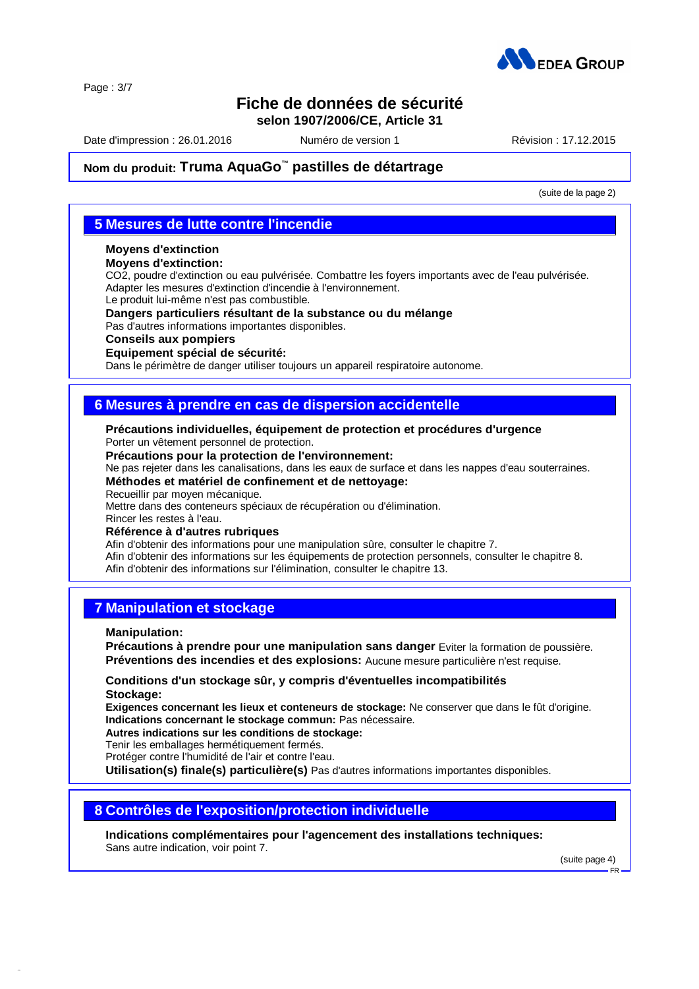

Page : 3/7

# **Fiche de données de sécurité**

**selon 1907/2006/CE, Article 31**

Date d'impression : 26.01.2016 Numéro de version 1 Révision : 17.12.2015

# **Nom du produit: Truma AquaGo ™ pastilles de détartrage**

(suite de la page 2)

## **5 Mesures de lutte contre l'incendie**

# **Moyens d'extinction**

### **Moyens d'extinction:**

CO2, poudre d'extinction ou eau pulvérisée. Combattre les foyers importants avec de l'eau pulvérisée. Adapter les mesures d'extinction d'incendie à l'environnement.

Le produit lui-même n'est pas combustible.

### **Dangers particuliers résultant de la substance ou du mélange**

Pas d'autres informations importantes disponibles.

### **Conseils aux pompiers**

### **Equipement spécial de sécurité:**

Dans le périmètre de danger utiliser toujours un appareil respiratoire autonome.

## **6 Mesures à prendre en cas de dispersion accidentelle**

### **Précautions individuelles, équipement de protection et procédures d'urgence**

Porter un vêtement personnel de protection.

### **Précautions pour la protection de l'environnement:**

Ne pas rejeter dans les canalisations, dans les eaux de surface et dans les nappes d'eau souterraines. **Méthodes et matériel de confinement et de nettoyage:**

# Recueillir par moyen mécanique.

Mettre dans des conteneurs spéciaux de récupération ou d'élimination.

Rincer les restes à l'eau.

### **Référence à d'autres rubriques**

Afin d'obtenir des informations pour une manipulation sûre, consulter le chapitre 7. Afin d'obtenir des informations sur les équipements de protection personnels, consulter le chapitre 8. Afin d'obtenir des informations sur l'élimination, consulter le chapitre 13.

## **7 Manipulation et stockage**

**Manipulation:**

42.0.1

**Précautions à prendre pour une manipulation sans danger** Eviter la formation de poussière. **Préventions des incendies et des explosions:** Aucune mesure particulière n'est requise.

### **Conditions d'un stockage sûr, y compris d'éventuelles incompatibilités Stockage:**

**Exigences concernant les lieux et conteneurs de stockage:** Ne conserver que dans le fût d'origine. **Indications concernant le stockage commun:** Pas nécessaire.

**Autres indications sur les conditions de stockage:**

Tenir les emballages hermétiquement fermés.

Protéger contre l'humidité de l'air et contre l'eau.

**Utilisation(s) finale(s) particulière(s)** Pas d'autres informations importantes disponibles.

## **8 Contrôles de l'exposition/protection individuelle**

**Indications complémentaires pour l'agencement des installations techniques:** Sans autre indication, voir point 7.

(suite page 4)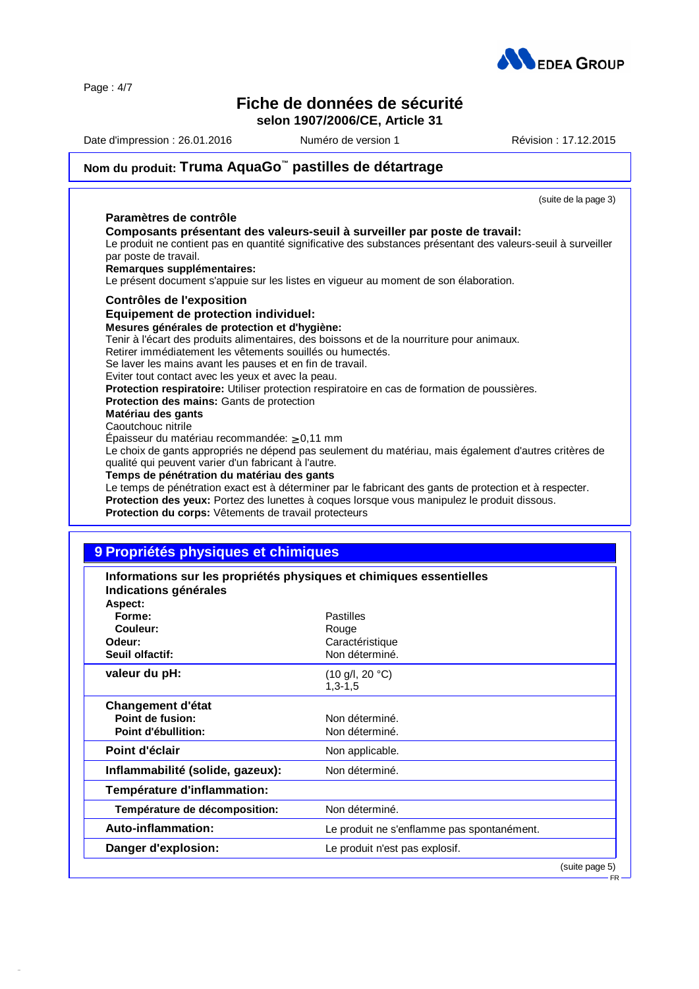Page : 4/7

42.0.1

# **Fiche de données de sécurité**

**selon 1907/2006/CE, Article 31**

Date d'impression : 26.01.2016 Muméro de version 1 Révision : 17.12.2015

# **Nom du produit: Truma AquaGo ™ pastilles de détartrage**

| (suite de la page 3)                                                                                                                                                                                                                                                                                                                                                                                                                                                                                                                                                      |
|---------------------------------------------------------------------------------------------------------------------------------------------------------------------------------------------------------------------------------------------------------------------------------------------------------------------------------------------------------------------------------------------------------------------------------------------------------------------------------------------------------------------------------------------------------------------------|
| Paramètres de contrôle                                                                                                                                                                                                                                                                                                                                                                                                                                                                                                                                                    |
| Composants présentant des valeurs-seuil à surveiller par poste de travail:<br>Le produit ne contient pas en quantité significative des substances présentant des valeurs-seuil à surveiller<br>par poste de travail.<br>Remarques supplémentaires:<br>Le présent document s'appuie sur les listes en vigueur au moment de son élaboration.                                                                                                                                                                                                                                |
| <b>Contrôles de l'exposition</b>                                                                                                                                                                                                                                                                                                                                                                                                                                                                                                                                          |
| Equipement de protection individuel:<br>Mesures générales de protection et d'hygiène:<br>Tenir à l'écart des produits alimentaires, des boissons et de la nourriture pour animaux.<br>Retirer immédiatement les vêtements souillés ou humectés.<br>Se laver les mains avant les pauses et en fin de travail.<br>Eviter tout contact avec les yeux et avec la peau.<br><b>Protection respiratoire:</b> Utiliser protection respiratoire en cas de formation de poussières.<br><b>Protection des mains: Gants de protection</b><br>Matériau des gants<br>Caoutchouc nitrile |
| Epaisseur du matériau recommandée: $\geq 0.11$ mm<br>Le choix de gants appropriés ne dépend pas seulement du matériau, mais également d'autres critères de                                                                                                                                                                                                                                                                                                                                                                                                                |
| qualité qui peuvent varier d'un fabricant à l'autre.                                                                                                                                                                                                                                                                                                                                                                                                                                                                                                                      |
| Temps de pénétration du matériau des gants<br>Le temps de pénétration exact est à déterminer par le fabricant des gants de protection et à respecter.                                                                                                                                                                                                                                                                                                                                                                                                                     |
| Protection des yeux: Portez des lunettes à coques lorsque vous manipulez le produit dissous.<br>Protection du corps: Vêtements de travail protecteurs                                                                                                                                                                                                                                                                                                                                                                                                                     |

# **9 Propriétés physiques et chimiques**

| Informations sur les propriétés physiques et chimiques essentielles<br>Indications générales<br>Aspect: |                                                |                |  |  |
|---------------------------------------------------------------------------------------------------------|------------------------------------------------|----------------|--|--|
| Forme:<br>Couleur:<br>Odeur:                                                                            | <b>Pastilles</b><br>Rouge<br>Caractéristique   |                |  |  |
| Seuil olfactif:                                                                                         | Non déterminé.                                 |                |  |  |
| valeur du pH:                                                                                           | $(10 \text{ g/l}, 20 \text{ °C})$<br>$1,3-1,5$ |                |  |  |
| Changement d'état<br>Point de fusion:<br>Point d'ébullition:                                            | Non déterminé.<br>Non déterminé.               |                |  |  |
| Point d'éclair                                                                                          | Non applicable.                                |                |  |  |
| Inflammabilité (solide, gazeux):                                                                        | Non déterminé.                                 |                |  |  |
| Température d'inflammation:                                                                             |                                                |                |  |  |
| Température de décomposition:                                                                           | Non déterminé.                                 |                |  |  |
| Auto-inflammation:                                                                                      | Le produit ne s'enflamme pas spontanément.     |                |  |  |
| Danger d'explosion:                                                                                     | Le produit n'est pas explosif.                 |                |  |  |
|                                                                                                         |                                                | (suite nage 5) |  |  |

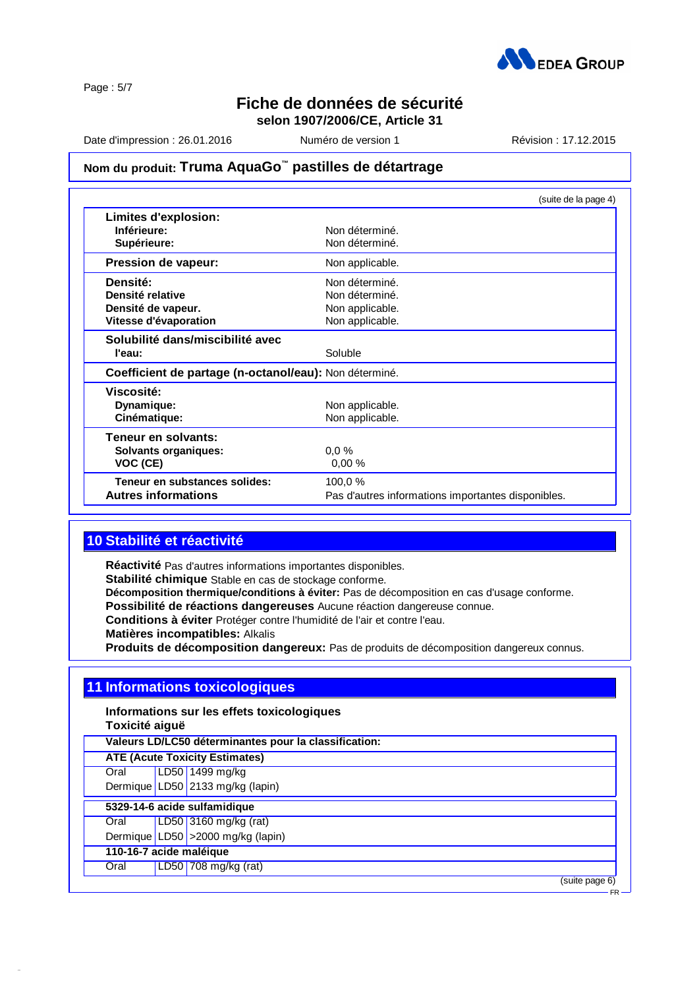

Page : 5/7

# **Fiche de données de sécurité**

**selon 1907/2006/CE, Article 31**

Date d'impression : 26.01.2016 Muméro de version 1 Révision : 17.12.2015

# **Nom du produit: Truma AquaGo ™ pastilles de détartrage**

|                                                        | (suite de la page 4)                               |
|--------------------------------------------------------|----------------------------------------------------|
| Limites d'explosion:                                   |                                                    |
| Inférieure:                                            | Non déterminé.                                     |
| Supérieure:                                            | Non déterminé.                                     |
| Pression de vapeur:                                    | Non applicable.                                    |
| Densité:                                               | Non déterminé.                                     |
| Densité relative                                       | Non déterminé.                                     |
| Densité de vapeur.                                     | Non applicable.                                    |
| Vitesse d'évaporation                                  | Non applicable.                                    |
| Solubilité dans/miscibilité avec                       |                                                    |
| l'eau:                                                 | Soluble                                            |
| Coefficient de partage (n-octanol/eau): Non déterminé. |                                                    |
| Viscosité:                                             |                                                    |
| Dynamique:                                             | Non applicable.                                    |
| Cinématique:                                           | Non applicable.                                    |
| Teneur en solvants:                                    |                                                    |
| <b>Solvants organiques:</b>                            | 0.0%                                               |
| VOC (CE)                                               | 0.00%                                              |
| Teneur en substances solides:                          | 100,0 %                                            |
| <b>Autres informations</b>                             | Pas d'autres informations importantes disponibles. |

# **10 Stabilité et réactivité**

**Réactivité** Pas d'autres informations importantes disponibles. **Stabilité chimique** Stable en cas de stockage conforme. **Décomposition thermique/conditions à éviter:** Pas de décomposition en cas d'usage conforme. **Possibilité de réactions dangereuses** Aucune réaction dangereuse connue. **Conditions à éviter** Protéger contre l'humidité de l'air et contre l'eau. **Matières incompatibles:** Alkalis **Produits de décomposition dangereux:** Pas de produits de décomposition dangereux connus.

## **11 Informations toxicologiques**

**Informations sur les effets toxicologiques**

**Toxicité aiguë**

42.0.1

| Valeurs LD/LC50 déterminantes pour la classification: |  |                                    |  |  |  |
|-------------------------------------------------------|--|------------------------------------|--|--|--|
| <b>ATE (Acute Toxicity Estimates)</b>                 |  |                                    |  |  |  |
| Oral                                                  |  | LD50 1499 mg/kg                    |  |  |  |
|                                                       |  | Dermique LD50 2133 mg/kg (lapin)   |  |  |  |
| 5329-14-6 acide sulfamidique                          |  |                                    |  |  |  |
| Oral                                                  |  | LD50 3160 mg/kg (rat)              |  |  |  |
|                                                       |  | Dermique LD50 > 2000 mg/kg (lapin) |  |  |  |
| 110-16-7 acide maléique                               |  |                                    |  |  |  |
| Oral                                                  |  | LD50 708 mg/kg (rat)               |  |  |  |
|                                                       |  | (suite page 6)                     |  |  |  |
|                                                       |  | $FR -$                             |  |  |  |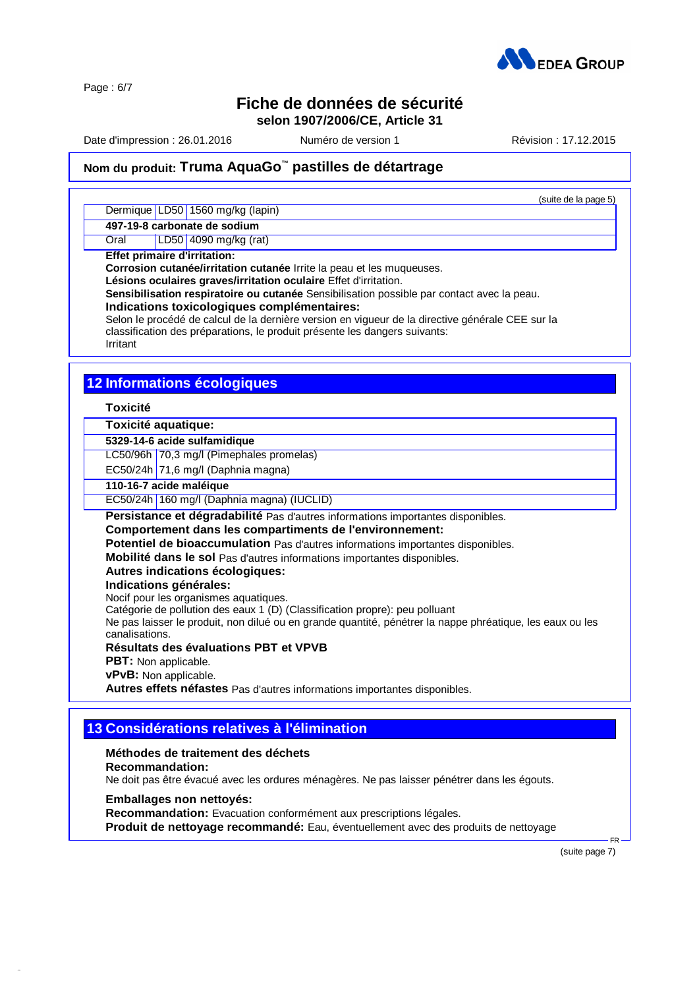

Page : 6/7

# **Fiche de données de sécurité**

**selon 1907/2006/CE, Article 31**

Date d'impression : 26.01.2016 Numéro de version 1 Révision : 17.12.2015

(suite de la page 5)

# **Nom du produit: Truma AquaGo ™ pastilles de détartrage**

Dermique LD50 1560 mg/kg (lapin)

**497-19-8 carbonate de sodium**

Oral LD50 4090 mg/kg (rat)

**Effet primaire d'irritation:**

**Corrosion cutanée/irritation cutanée** Irrite la peau et les muqueuses.

**Lésions oculaires graves/irritation oculaire** Effet d'irritation.

**Sensibilisation respiratoire ou cutanée** Sensibilisation possible par contact avec la peau.

**Indications toxicologiques complémentaires:**

Selon le procédé de calcul de la dernière version en vigueur de la directive générale CEE sur la classification des préparations, le produit présente les dangers suivants:

### Irritant

# **12 Informations écologiques**

### **Toxicité**

### **Toxicité aquatique:**

### **5329-14-6 acide sulfamidique**

LC50/96h 70,3 mg/l (Pimephales promelas)

EC50/24h  $71,6$  mg/l (Daphnia magna)

### **110-16-7 acide maléique**

EC50/24h 160 mg/l (Daphnia magna) (IUCLID)

**Persistance et dégradabilité** Pas d'autres informations importantes disponibles.

**Comportement dans les compartiments de l'environnement:**

**Potentiel de bioaccumulation** Pas d'autres informations importantes disponibles.

**Mobilité dans le sol** Pas d'autres informations importantes disponibles.

**Autres indications écologiques:**

**Indications générales:**

Nocif pour les organismes aquatiques.

Catégorie de pollution des eaux 1 (D) (Classification propre): peu polluant

Ne pas laisser le produit, non dilué ou en grande quantité, pénétrer la nappe phréatique, les eaux ou les canalisations.

### **Résultats des évaluations PBT et VPVB**

**PBT:** Non applicable.

**vPvB:** Non applicable.

**Autres effets néfastes** Pas d'autres informations importantes disponibles.

# **13 Considérations relatives à l'élimination**

### **Méthodes de traitement des déchets**

#### **Recommandation:**

42.0.1

Ne doit pas être évacué avec les ordures ménagères. Ne pas laisser pénétrer dans les égouts.

### **Emballages non nettoyés:**

**Recommandation:** Evacuation conformément aux prescriptions légales. **Produit de nettoyage recommandé:** Eau, éventuellement avec des produits de nettoyage

(suite page 7)

 $FR -$